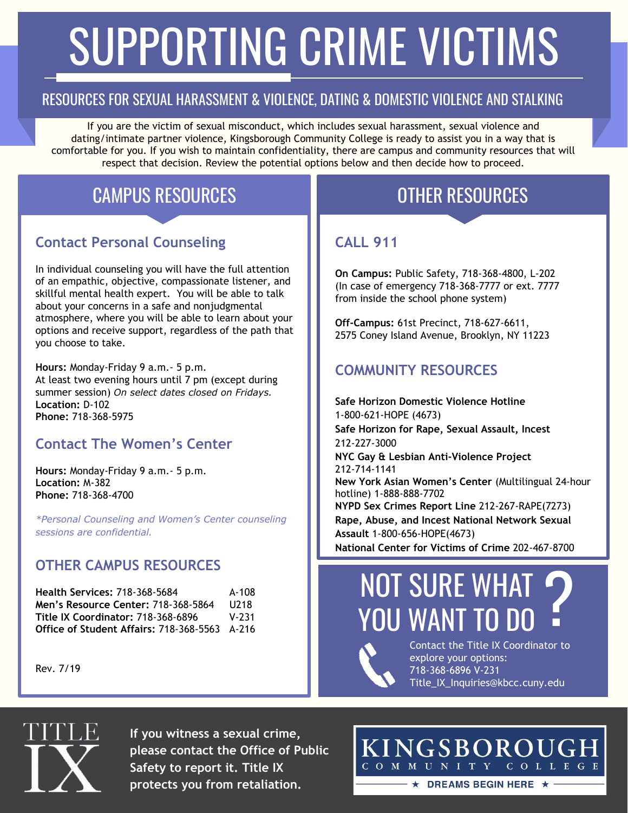# SUPPORTING CRIME VICTIMS

### RESOURCES FOR SEXUAL HARASSMENT & VIOLENCE, DATING & DOMESTIC VIOLENCE AND STALKING

If you are the victim of sexual misconduct, which includes sexual harassment, sexual violence and dating/intimate partner violence, Kingsborough Community College is ready to assist you in a way that is comfortable for you. If you wish to maintain confidentiality, there are campus and community resources that will respect that decision. Review the potential options below and then decide how to proceed.

# CAMPUS RESOURCES **CAMPUS RESOURCES**

### **Contact Personal Counseling**

In individual counseling you will have the full attention of an empathic, objective, compassionate listener, and skillful mental health expert. You will be able to talk about your concerns in a safe and nonjudgmental atmosphere, where you will be able to learn about your options and receive support, regardless of the path that you choose to take.

**Hours:** Monday-Friday 9 a.m.- 5 p.m. At least two evening hours until 7 pm (except during summer session) *On select dates closed on Fridays.* **Location:** D-102 **Phone:** 718-368-5975

#### **Contact The Women's Center**

**Hours:** Monday-Friday 9 a.m.- 5 p.m. **Location:** M-382 **Phone:** 718-368-4700

*\*Personal Counseling and Women's Center counseling sessions are confidential.*

#### **OTHER CAMPUS RESOURCES**

| <b>Health Services: 718-368-5684</b>                 | A-108     |
|------------------------------------------------------|-----------|
| <b>Men's Resource Center: 718-368-5864</b>           | U218      |
| <b>Title IX Coordinator: 718-368-6896</b>            | $V - 231$ |
| <b>Office of Student Affairs: 718-368-5563</b> A-216 |           |

Rev. 7/19

#### **CALL 911**

**On Campus:** Public Safety, 718-368-4800, L-202 (In case of emergency 718-368-7777 or ext. 7777 from inside the school phone system)

**Off-Campus:** 61st Precinct, 718-627-6611, 2575 Coney Island Avenue, Brooklyn, NY 11223

#### **COMMUNITY RESOURCES**

**Safe Horizon Domestic Violence Hotline** 1-800-621-HOPE (4673) **Safe Horizon for Rape, Sexual Assault, Incest** 212-227-3000 **NYC Gay & Lesbian Anti-Violence Project** 212-714-1141 **New York Asian Women's Center** (Multilingual 24-hour hotline) 1-888-888-7702 **NYPD Sex Crimes Report Line** 212-267-RAPE(7273) **Rape, Abuse, and Incest National Network Sexual Assault** 1-800-656-HOPE(4673) **National Center for Victims of Crime** 202-467-8700

# NOT SURE WHAT YOU WANT TO DO ?<br>.



Contact the Title IX Coordinator to explore your options: 718-368-6896 V-231 Title\_IX\_Inquiries@kbcc.cuny.edu



**If you witness a sexual crime, please contact the Office of Public Safety to report it. Title IX protects you from retaliation.**

KINGSBOROUGH COMMUNITY COLLEGE  $\star$  DREAMS BEGIN HERE  $\star$